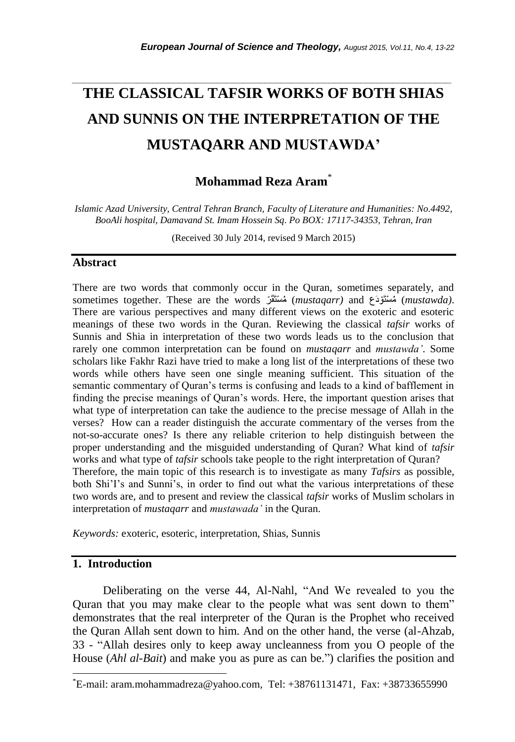# **THE CLASSICAL TAFSIR WORKS OF BOTH SHIAS AND SUNNIS ON THE INTERPRETATION OF THE MUSTAQARR AND MUSTAWDA'**

*\_\_\_\_\_\_\_\_\_\_\_\_\_\_\_\_\_\_\_\_\_\_\_\_\_\_\_\_\_\_\_\_\_\_\_\_\_\_\_\_\_\_\_\_\_\_\_\_\_\_\_\_\_\_\_\_\_\_\_\_\_\_\_\_\_\_\_\_\_\_\_*

**Mohammad Reza Aram**\*

*Islamic Azad University, Central Tehran Branch, Faculty of Literature and Humanities: No.4492, BooAli hospital, Damavand St. Imam Hossein Sq. Po BOX: 17117-34353, Tehran, Iran*

(Received 30 July 2014, revised 9 March 2015)

## **Abstract**

There are two words that commonly occur in the Quran, sometimes separately, and sometimes together. These are the words (*mustaqarr)* and (*mustawda)*. There are various perspectives and many different views on the exoteric and esoteric meanings of these two words in the Quran. Reviewing the classical *tafsir* works of Sunnis and Shia in interpretation of these two words leads us to the conclusion that rarely one common interpretation can be found on *mustaqarr* and *mustawda'*. Some scholars like Fakhr Razi have tried to make a long list of the interpretations of these two words while others have seen one single meaning sufficient. This situation of the semantic commentary of Quran's terms is confusing and leads to a kind of bafflement in finding the precise meanings of Quran"s words. Here, the important question arises that what type of interpretation can take the audience to the precise message of Allah in the verses? How can a reader distinguish the accurate commentary of the verses from the not-so-accurate ones? Is there any reliable criterion to help distinguish between the proper understanding and the misguided understanding of Quran? What kind of *tafsir* works and what type of *tafsir* schools take people to the right interpretation of Quran? Therefore, the main topic of this research is to investigate as many *Tafsirs* as possible, both Shi'I's and Sunni's, in order to find out what the various interpretations of these two words are, and to present and review the classical *tafsir* works of Muslim scholars in interpretation of *mustaqarr* and *mustawada'* in the Quran.

*Keywords:* exoteric, esoteric, interpretation, Shias, Sunnis

## **1. Introduction**

l

 Deliberating on the verse 44, Al-Nahl, "And We revealed to you the Quran that you may make clear to the people what was sent down to them" demonstrates that the real interpreter of the Quran is the Prophet who received the Quran Allah sent down to him. And on the other hand, the verse (al-Ahzab, 33 - "Allah desires only to keep away uncleanness from you O people of the House (*Ahl al-Bait*) and make you as pure as can be.") clarifies the position and

 $E$ -mail: aram.mohammadreza@yahoo.com, Tel: +38761131471, Fax: +38733655990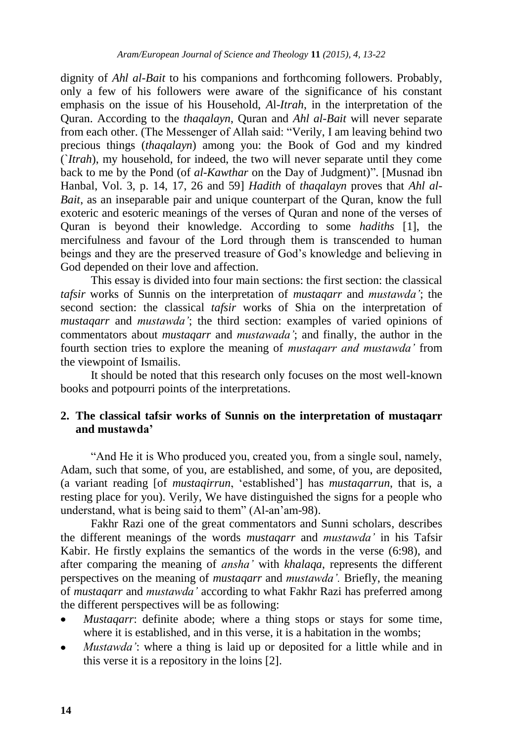dignity of *Ahl al-Bait* to his companions and forthcoming followers. Probably, only a few of his followers were aware of the significance of his constant emphasis on the issue of his Household, *A*l-*Itrah*, in the interpretation of the Quran. According to the *thaqalayn*, Quran and *Ahl al-Bait* will never separate from each other. (The Messenger of Allah said: "Verily, I am leaving behind two precious things (*thaqalayn*) among you: the Book of God and my kindred (`*Itrah*), my household, for indeed, the two will never separate until they come back to me by the Pond (of *al-Kawthar* on the Day of Judgment)". [Musnad ibn Hanbal, Vol. 3, p. 14, 17, 26 and 59] *Hadith* of *thaqalayn* proves that *Ahl al-Bait*, as an inseparable pair and unique counterpart of the Quran, know the full exoteric and esoteric meanings of the verses of Quran and none of the verses of Quran is beyond their knowledge. According to some *hadiths* [1], the mercifulness and favour of the Lord through them is transcended to human beings and they are the preserved treasure of God"s knowledge and believing in God depended on their love and affection.

 This essay is divided into four main sections: the first section: the classical *tafsir* works of Sunnis on the interpretation of *mustaqarr* and *mustawda'*; the second section: the classical *tafsir* works of Shia on the interpretation of *mustaqarr* and *mustawda'*; the third section: examples of varied opinions of commentators about *mustaqarr* and *mustawada'*; and finally, the author in the fourth section tries to explore the meaning of *mustaqarr and mustawda'* from the viewpoint of Ismailis.

It should be noted that this research only focuses on the most well-known books and potpourri points of the interpretations.

## **2. The classical tafsir works of Sunnis on the interpretation of mustaqarr and mustawda'**

"And He it is Who produced you, created you, from a single soul, namely, Adam, such that some, of you, are established, and some, of you, are deposited, (a variant reading [of *mustaqirrun*, "established"] has *mustaqarrun*, that is, a resting place for you). Verily, We have distinguished the signs for a people who understand, what is being said to them" (Al-an"am-98).

 Fakhr Razi one of the great commentators and Sunni scholars, describes the different meanings of the words *mustaqarr* and *mustawda'* in his Tafsir Kabir. He firstly explains the semantics of the words in the verse (6:98), and after comparing the meaning of *ansha'* with *khalaqa*, represents the different perspectives on the meaning of *mustaqarr* and *mustawda'.* Briefly, the meaning of *mustaqarr* and *mustawda'* according to what Fakhr Razi has preferred among the different perspectives will be as following:

- *Mustaqarr*: definite abode; where a thing stops or stays for some time, where it is established, and in this verse, it is a habitation in the wombs;
- *Mustawda'*: where a thing is laid up or deposited for a little while and in this verse it is a repository in the loins [2].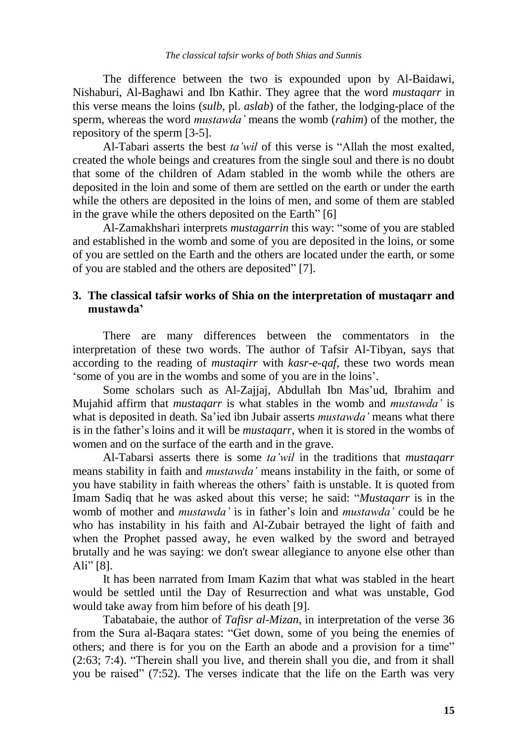The difference between the two is expounded upon by Al-Baidawi, Nishaburi, Al-Baghawi and Ibn Kathir. They agree that the word *mustaqarr* in this verse means the loins (*sulb*, pl. *aslab*) of the father, the lodging-place of the sperm, whereas the word *mustawda'* means the womb (*rahim*) of the mother, the repository of the sperm [3-5].

Al-Tabari asserts the best *ta'wil* of this verse is "Allah the most exalted, created the whole beings and creatures from the single soul and there is no doubt that some of the children of Adam stabled in the womb while the others are deposited in the loin and some of them are settled on the earth or under the earth while the others are deposited in the loins of men, and some of them are stabled in the grave while the others deposited on the Earth" [6]

Al-Zamakhshari interprets *mustagarrin* this way: "some of you are stabled and established in the womb and some of you are deposited in the loins, or some of you are settled on the Earth and the others are located under the earth, or some of you are stabled and the others are deposited" [7].

# **3. The classical tafsir works of Shia on the interpretation of mustaqarr and mustawda'**

There are many differences between the commentators in the interpretation of these two words. The author of Tafsir Al-Tibyan, says that according to the reading of *mustaqirr* with *kasr-e-qaf*, these two words mean "some of you are in the wombs and some of you are in the loins".

Some scholars such as Al-Zajjaj, Abdullah Ibn Mas'ud, Ibrahim and Mujahid affirm that *mustaqarr* is what stables in the womb and *mustawda'* is what is deposited in death. Sa"ied ibn Jubair asserts *mustawda'* means what there is in the father"s loins and it will be *mustaqarr*, when it is stored in the wombs of women and on the surface of the earth and in the grave.

Al-Tabarsi asserts there is some *ta'wil* in the traditions that *mustaqarr* means stability in faith and *mustawda'* means instability in the faith, or some of you have stability in faith whereas the others" faith is unstable. It is quoted from Imam Sadiq that he was asked about this verse; he said: "*Mustaqarr* is in the womb of mother and *mustawda'* is in father"s loin and *mustawda'* could be he who has instability in his faith and Al-Zubair betrayed the light of faith and when the Prophet passed away, he even walked by the sword and betrayed brutally and he was saying: we don't swear allegiance to anyone else other than Ali" [8].

It has been narrated from Imam Kazim that what was stabled in the heart would be settled until the Day of Resurrection and what was unstable, God would take away from him before of his death [9].

Tabatabaie, the author of *Tafisr al-Mizan*, in interpretation of the verse 36 from the Sura al-Baqara states: "Get down, some of you being the enemies of others; and there is for you on the Earth an abode and a provision for a time" (2:63; 7:4). "Therein shall you live, and therein shall you die, and from it shall you be raised" (7:52). The verses indicate that the life on the Earth was very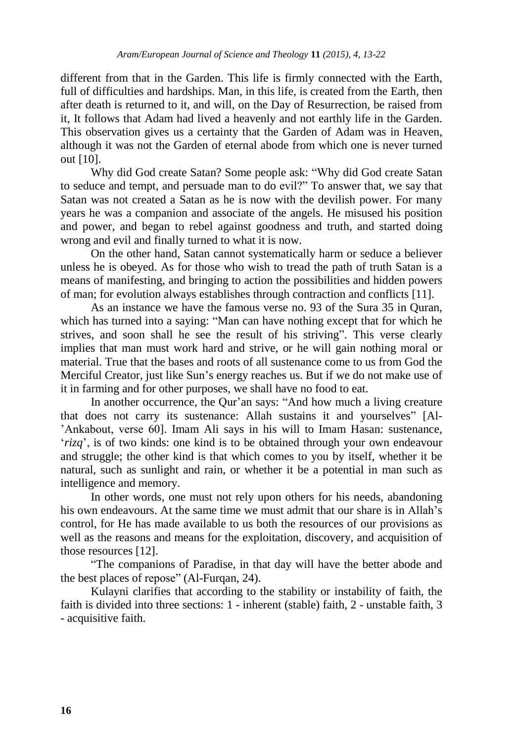different from that in the Garden. This life is firmly connected with the Earth, full of difficulties and hardships. Man, in this life, is created from the Earth, then after death is returned to it, and will, on the Day of Resurrection, be raised from it, It follows that Adam had lived a heavenly and not earthly life in the Garden. This observation gives us a certainty that the Garden of Adam was in Heaven, although it was not the Garden of eternal abode from which one is never turned out [10].

Why did God create Satan? Some people ask: "Why did God create Satan to seduce and tempt, and persuade man to do evil?" To answer that, we say that Satan was not created a Satan as he is now with the devilish power. For many years he was a companion and associate of the angels. He misused his position and power, and began to rebel against goodness and truth, and started doing wrong and evil and finally turned to what it is now.

On the other hand, Satan cannot systematically harm or seduce a believer unless he is obeyed. As for those who wish to tread the path of truth Satan is a means of manifesting, and bringing to action the possibilities and hidden powers of man; for evolution always establishes through contraction and conflicts [11].

As an instance we have the famous verse no. 93 of the Sura 35 in Quran, which has turned into a saying: "Man can have nothing except that for which he strives, and soon shall he see the result of his striving". This verse clearly implies that man must work hard and strive, or he will gain nothing moral or material. True that the bases and roots of all sustenance come to us from God the Merciful Creator, just like Sun"s energy reaches us. But if we do not make use of it in farming and for other purposes, we shall have no food to eat.

In another occurrence, the Qur'an says: "And how much a living creature that does not carry its sustenance: Allah sustains it and yourselves" [Al- "Ankabout, verse 60]. Imam Ali says in his will to Imam Hasan: sustenance, '*rizq*', is of two kinds: one kind is to be obtained through your own endeavour and struggle; the other kind is that which comes to you by itself, whether it be natural, such as sunlight and rain, or whether it be a potential in man such as intelligence and memory.

In other words, one must not rely upon others for his needs, abandoning his own endeavours. At the same time we must admit that our share is in Allah"s control, for He has made available to us both the resources of our provisions as well as the reasons and means for the exploitation, discovery, and acquisition of those resources [12].

"The companions of Paradise, in that day will have the better abode and the best places of repose" (Al-Furqan, 24).

Kulayni clarifies that according to the stability or instability of faith, the faith is divided into three sections: 1 - inherent (stable) faith, 2 - unstable faith, 3 - acquisitive faith.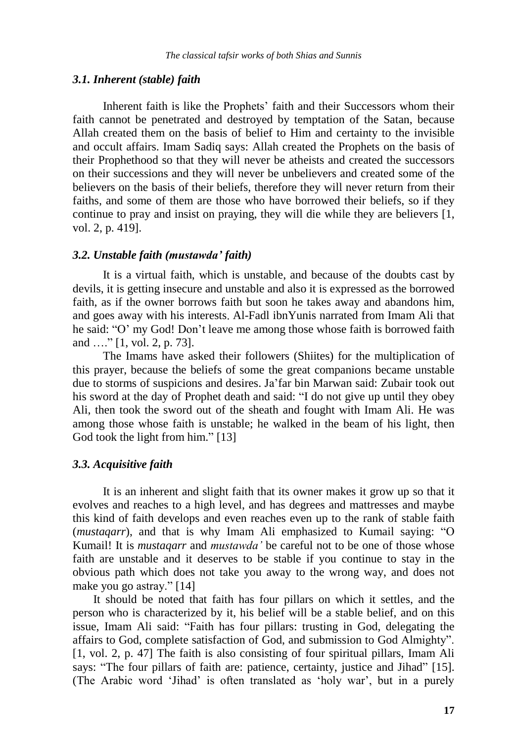#### *3.1. Inherent (stable) faith*

Inherent faith is like the Prophets' faith and their Successors whom their faith cannot be penetrated and destroyed by temptation of the Satan, because Allah created them on the basis of belief to Him and certainty to the invisible and occult affairs. Imam Sadiq says: Allah created the Prophets on the basis of their Prophethood so that they will never be atheists and created the successors on their successions and they will never be unbelievers and created some of the believers on the basis of their beliefs, therefore they will never return from their faiths, and some of them are those who have borrowed their beliefs, so if they continue to pray and insist on praying, they will die while they are believers [1, vol. 2, p. 419].

## *3.2. Unstable faith (mustawda' faith)*

 It is a virtual faith, which is unstable, and because of the doubts cast by devils, it is getting insecure and unstable and also it is expressed as the borrowed faith, as if the owner borrows faith but soon he takes away and abandons him, and goes away with his interests Al-Fadl ibnYunis narrated from Imam Ali that he said: "O' my God! Don't leave me among those whose faith is borrowed faith and …." [1, vol. 2, p. 73].

 The Imams have asked their followers (Shiites) for the multiplication of this prayer, because the beliefs of some the great companions became unstable due to storms of suspicions and desires. Ja"far bin Marwan said: Zubair took out his sword at the day of Prophet death and said: "I do not give up until they obey Ali, then took the sword out of the sheath and fought with Imam Ali. He was among those whose faith is unstable; he walked in the beam of his light, then God took the light from him." [13]

## *3.3. Acquisitive faith*

It is an inherent and slight faith that its owner makes it grow up so that it evolves and reaches to a high level, and has degrees and mattresses and maybe this kind of faith develops and even reaches even up to the rank of stable faith (*mustaqarr*), and that is why Imam Ali emphasized to Kumail saying: "O Kumail! It is *mustaqarr* and *mustawda'* be careful not to be one of those whose faith are unstable and it deserves to be stable if you continue to stay in the obvious path which does not take you away to the wrong way, and does not make you go astray." [14]

 It should be noted that faith has four pillars on which it settles, and the person who is characterized by it, his belief will be a stable belief, and on this issue, Imam Ali said: "Faith has four pillars: trusting in God, delegating the affairs to God, complete satisfaction of God, and submission to God Almighty". [1, vol. 2, p. 47] The faith is also consisting of four spiritual pillars, Imam Ali says: "The four pillars of faith are: patience, certainty, justice and Jihad" [15]. (The Arabic word "Jihad" is often translated as "holy war", but in a purely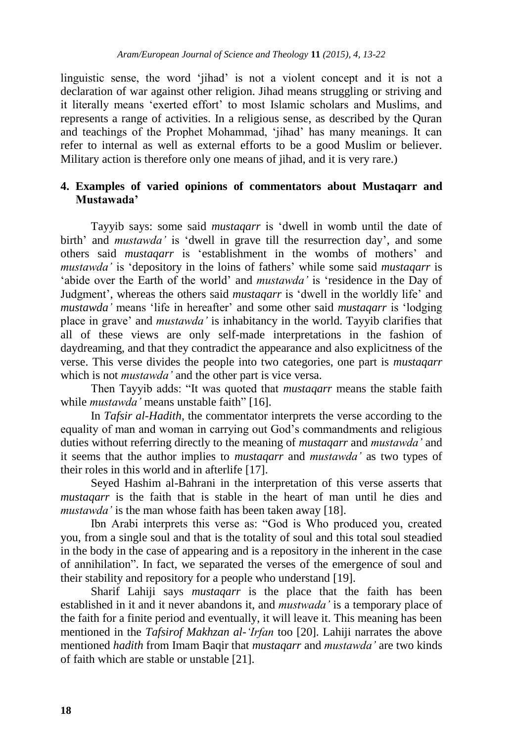linguistic sense, the word "jihad" is not a violent concept and it is not a declaration of war against other religion. Jihad means struggling or striving and it literally means "exerted effort" to most Islamic scholars and Muslims, and represents a range of activities. In a religious sense, as described by the Quran and teachings of the Prophet Mohammad, "jihad" has many meanings. It can refer to internal as well as external efforts to be a good Muslim or believer. Military action is therefore only one means of jihad, and it is very rare.)

## **4. Examples of varied opinions of commentators about Mustaqarr and Mustawada'**

 Tayyib says: some said *mustaqarr* is "dwell in womb until the date of birth' and *mustawda* is 'dwell in grave till the resurrection day', and some others said *mustaqarr* is "establishment in the wombs of mothers" and *mustawda'* is 'depository in the loins of fathers' while some said *mustagarr* is "abide over the Earth of the world" and *mustawda'* is "residence in the Day of Judgment', whereas the others said *mustagarr* is 'dwell in the worldly life' and *mustawda'* means "life in hereafter" and some other said *mustaqarr* is "lodging place in grave" and *mustawda'* is inhabitancy in the world. Tayyib clarifies that all of these views are only self-made interpretations in the fashion of daydreaming, and that they contradict the appearance and also explicitness of the verse. This verse divides the people into two categories, one part is *mustaqarr* which is not *mustawda'* and the other part is vice versa.

 Then Tayyib adds: "It was quoted that *mustaqarr* means the stable faith while *mustawda'* means unstable faith" [16].

In *Tafsir al-Hadith*, the commentator interprets the verse according to the equality of man and woman in carrying out God"s commandments and religious duties without referring directly to the meaning of *mustaqarr* and *mustawda'* and it seems that the author implies to *mustaqarr* and *mustawda'* as two types of their roles in this world and in afterlife [17].

 Seyed Hashim al-Bahrani in the interpretation of this verse asserts that *mustaqarr* is the faith that is stable in the heart of man until he dies and *mustawda'* is the man whose faith has been taken away [18].

 Ibn Arabi interprets this verse as: "God is Who produced you, created you, from a single soul and that is the totality of soul and this total soul steadied in the body in the case of appearing and is a repository in the inherent in the case of annihilation". In fact, we separated the verses of the emergence of soul and their stability and repository for a people who understand [19].

 Sharif Lahiji says *mustaqarr* is the place that the faith has been established in it and it never abandons it, and *mustwada'* is a temporary place of the faith for a finite period and eventually, it will leave it. This meaning has been mentioned in the *Tafsirof Makhzan al-'Irfan* too [20]. Lahiji narrates the above mentioned *hadith* from Imam Baqir that *mustaqarr* and *mustawda'* are two kinds of faith which are stable or unstable [21].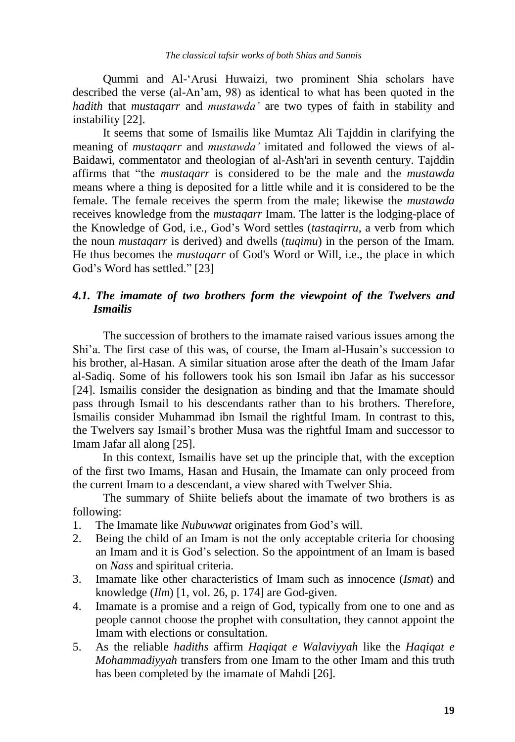Qummi and Al-"Arusi Huwaizi, two prominent Shia scholars have described the verse (al-An"am, 98) as identical to what has been quoted in the *hadith* that *mustaqarr* and *mustawda'* are two types of faith in stability and instability [22].

 It seems that some of Ismailis like Mumtaz Ali Tajddin in clarifying the meaning of *mustaqarr* and *mustawda'* imitated and followed the views of al-Baidawi, commentator and theologian of al-Ash'ari in seventh century. Tajddin affirms that "the *mustaqarr* is considered to be the male and the *mustawda* means where a thing is deposited for a little while and it is considered to be the female. The female receives the sperm from the male; likewise the *mustawda* receives knowledge from the *mustaqarr* Imam. The latter is the lodging-place of the Knowledge of God, i.e., God"s Word settles (*tastaqirru*, a verb from which the noun *mustaqarr* is derived) and dwells (*tuqimu*) in the person of the Imam. He thus becomes the *mustaqarr* of God's Word or Will, i.e., the place in which God"s Word has settled." [23]

# *4.1. The imamate of two brothers form the viewpoint of the Twelvers and Ismailis*

The succession of brothers to the imamate raised various issues among the Shi"a. The first case of this was, of course, the Imam al-Husain"s succession to his brother, al-Hasan. A similar situation arose after the death of the Imam Jafar al-Sadiq. Some of his followers took his son Ismail ibn Jafar as his successor [24]. Ismailis consider the designation as binding and that the Imamate should pass through Ismail to his descendants rather than to his brothers. Therefore, Ismailis consider Muhammad ibn Ismail the rightful Imam. In contrast to this, the Twelvers say Ismail"s brother Musa was the rightful Imam and successor to Imam Jafar all along [25].

In this context, Ismailis have set up the principle that, with the exception of the first two Imams, Hasan and Husain, the Imamate can only proceed from the current Imam to a descendant, a view shared with Twelver Shia.

 The summary of Shiite beliefs about the imamate of two brothers is as following:

- 1. The Imamate like *Nubuwwat* originates from God"s will.
- 2. Being the child of an Imam is not the only acceptable criteria for choosing an Imam and it is God"s selection. So the appointment of an Imam is based on *Nass* and spiritual criteria.
- 3. Imamate like other characteristics of Imam such as innocence (*Ismat*) and knowledge (*Ilm*) [1, vol. 26, p. 174] are God-given.
- 4. Imamate is a promise and a reign of God, typically from one to one and as people cannot choose the prophet with consultation, they cannot appoint the Imam with elections or consultation.
- 5. As the reliable *hadiths* affirm *Haqiqat e Walaviyyah* like the *Haqiqat e Mohammadiyyah* transfers from one Imam to the other Imam and this truth has been completed by the imamate of Mahdi [26].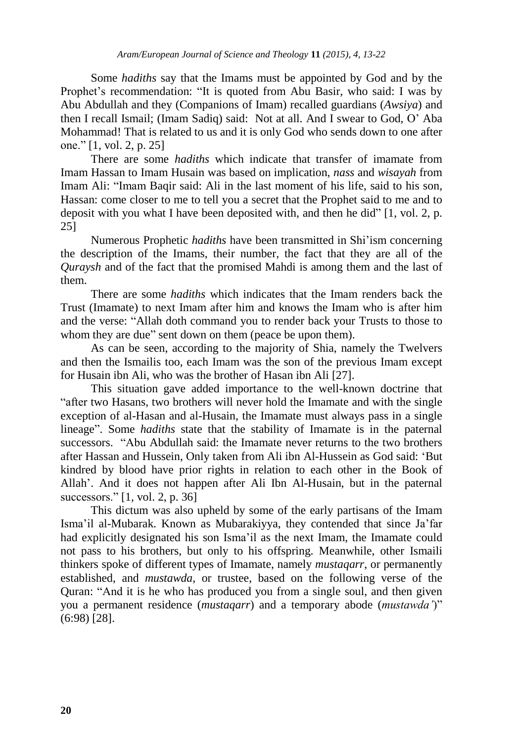Some *hadiths* say that the Imams must be appointed by God and by the Prophet"s recommendation: "It is quoted from Abu Basir, who said: I was by Abu Abdullah and they (Companions of Imam) recalled guardians (*Awsiya*) and then I recall Ismail; (Imam Sadiq) said: Not at all. And I swear to God, O" Aba Mohammad! That is related to us and it is only God who sends down to one after one." [1, vol. 2, p. 25]

There are some *hadiths* which indicate that transfer of imamate from Imam Hassan to Imam Husain was based on implication, *nass* and *wisayah* from Imam Ali: "Imam Baqir said: Ali in the last moment of his life, said to his son, Hassan: come closer to me to tell you a secret that the Prophet said to me and to deposit with you what I have been deposited with, and then he did" [1, vol. 2, p. 25]

 Numerous Prophetic *hadiths* have been transmitted in Shi"ism concerning the description of the Imams, their number, the fact that they are all of the *Quraysh* and of the fact that the promised Mahdi is among them and the last of them.

 There are some *hadiths* which indicates that the Imam renders back the Trust (Imamate) to next Imam after him and knows the Imam who is after him and the verse: "Allah doth command you to render back your Trusts to those to whom they are due" sent down on them (peace be upon them).

 As can be seen, according to the majority of Shia, namely the Twelvers and then the Ismailis too, each Imam was the son of the previous Imam except for Husain ibn Ali, who was the brother of Hasan ibn Ali [27].

This situation gave added importance to the well-known doctrine that "after two Hasans, two brothers will never hold the Imamate and with the single exception of al-Hasan and al-Husain, the Imamate must always pass in a single lineage". Some *hadiths* state that the stability of Imamate is in the paternal successors. "Abu Abdullah said: the Imamate never returns to the two brothers after Hassan and Hussein, Only taken from Ali ibn Al-Hussein as God said: "But kindred by blood have prior rights in relation to each other in the Book of Allah". And it does not happen after Ali Ibn Al-Husain, but in the paternal successors." [1, vol. 2, p. 36]

 This dictum was also upheld by some of the early partisans of the Imam Isma"il al-Mubarak. Known as Mubarakiyya, they contended that since Ja"far had explicitly designated his son Isma"il as the next Imam, the Imamate could not pass to his brothers, but only to his offspring. Meanwhile, other Ismaili thinkers spoke of different types of Imamate, namely *mustaqarr*, or permanently established, and *mustawda*, or trustee, based on the following verse of the Quran: "And it is he who has produced you from a single soul, and then given you a permanent residence (*mustaqarr*) and a temporary abode (*mustawda'*)" (6:98) [28].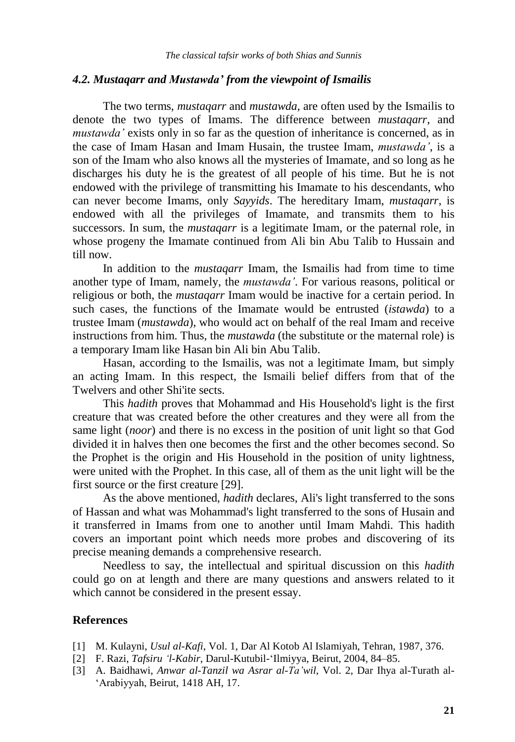#### *4.2. Mustaqarr and Mustawda' from the viewpoint of Ismailis*

The two terms, *mustaqarr* and *mustawda,* are often used by the Ismailis to denote the two types of Imams. The difference between *mustaqarr*, and *mustawda'* exists only in so far as the question of inheritance is concerned, as in the case of Imam Hasan and Imam Husain, the trustee Imam, *mustawda'*, is a son of the Imam who also knows all the mysteries of Imamate, and so long as he discharges his duty he is the greatest of all people of his time. But he is not endowed with the privilege of transmitting his Imamate to his descendants, who can never become Imams, only *Sayyids*. The hereditary Imam, *mustaqarr*, is endowed with all the privileges of Imamate, and transmits them to his successors. In sum, the *mustaqarr* is a legitimate Imam, or the paternal role, in whose progeny the Imamate continued from Ali bin Abu Talib to Hussain and till now.

 In addition to the *mustaqarr* Imam, the Ismailis had from time to time another type of Imam, namely, the *mustawda'*. For various reasons, political or religious or both, the *mustaqarr* Imam would be inactive for a certain period. In such cases, the functions of the Imamate would be entrusted (*istawda*) to a trustee Imam (*mustawda*), who would act on behalf of the real Imam and receive instructions from him. Thus, the *mustawda* (the substitute or the maternal role) is a temporary Imam like Hasan bin Ali bin Abu Talib.

 Hasan, according to the Ismailis, was not a legitimate Imam, but simply an acting Imam. In this respect, the Ismaili belief differs from that of the Twelvers and other Shi'ite sects.

 This *hadith* proves that Mohammad and His Household's light is the first creature that was created before the other creatures and they were all from the same light (*noor*) and there is no excess in the position of unit light so that God divided it in halves then one becomes the first and the other becomes second. So the Prophet is the origin and His Household in the position of unity lightness, were united with the Prophet. In this case, all of them as the unit light will be the first source or the first creature [29].

 As the above mentioned, *hadith* declares, Ali's light transferred to the sons of Hassan and what was Mohammad's light transferred to the sons of Husain and it transferred in Imams from one to another until Imam Mahdi. This hadith covers an important point which needs more probes and discovering of its precise meaning demands a comprehensive research.

 Needless to say, the intellectual and spiritual discussion on this *hadith* could go on at length and there are many questions and answers related to it which cannot be considered in the present essay.

#### **References**

- [1] M. Kulayni, *Usul al-Kafi*, Vol. 1, Dar Al Kotob Al Islamiyah, Tehran, 1987, 376.
- [2] F. Razi, *Tafsiru 'l-Kabir*, Darul-Kutubil-"Ilmiyya, Beirut, 2004, 84–85.
- [3] A. Baidhawi, *Anwar al-Tanzil wa Asrar al-Ta'wil*, Vol. 2, Dar Ihya al-Turath al- "Arabiyyah, Beirut, 1418 AH, 17.